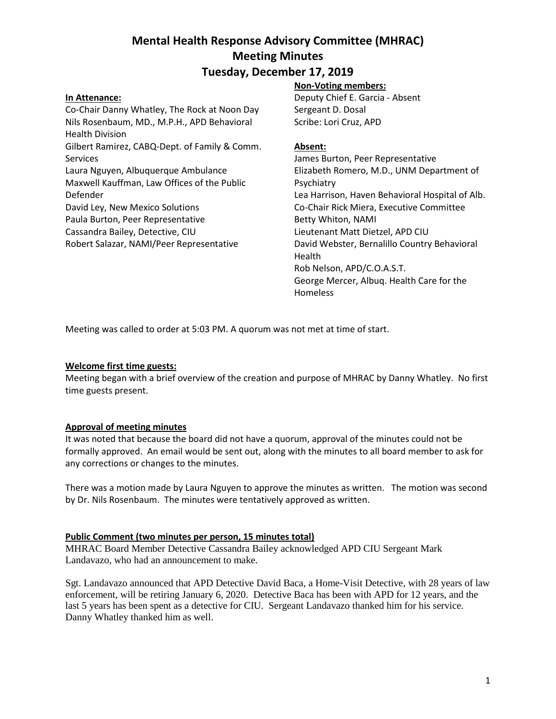# **Tuesday, December 17, 2019**

### **In Attenance:**

Co-Chair Danny Whatley, The Rock at Noon Day Nils Rosenbaum, MD., M.P.H., APD Behavioral Health Division Gilbert Ramirez, CABQ-Dept. of Family & Comm. Services Laura Nguyen, Albuquerque Ambulance Maxwell Kauffman, Law Offices of the Public Defender David Ley, New Mexico Solutions Paula Burton, Peer Representative Cassandra Bailey, Detective, CIU Robert Salazar, NAMI/Peer Representative

### **Non-Voting members:**

Deputy Chief E. Garcia - Absent Sergeant D. Dosal Scribe: Lori Cruz, APD

#### **Absent:**

James Burton, Peer Representative Elizabeth Romero, M.D., UNM Department of Psychiatry Lea Harrison, Haven Behavioral Hospital of Alb. Co-Chair Rick Miera, Executive Committee Betty Whiton, NAMI Lieutenant Matt Dietzel, APD CIU David Webster, Bernalillo Country Behavioral Health Rob Nelson, APD/C.O.A.S.T. George Mercer, Albuq. Health Care for the Homeless

Meeting was called to order at 5:03 PM. A quorum was not met at time of start.

#### **Welcome first time guests:**

Meeting began with a brief overview of the creation and purpose of MHRAC by Danny Whatley. No first time guests present.

### **Approval of meeting minutes**

It was noted that because the board did not have a quorum, approval of the minutes could not be formally approved. An email would be sent out, along with the minutes to all board member to ask for any corrections or changes to the minutes.

There was a motion made by Laura Nguyen to approve the minutes as written. The motion was second by Dr. Nils Rosenbaum. The minutes were tentatively approved as written.

#### **Public Comment (two minutes per person, 15 minutes total)**

MHRAC Board Member Detective Cassandra Bailey acknowledged APD CIU Sergeant Mark Landavazo, who had an announcement to make.

Sgt. Landavazo announced that APD Detective David Baca, a Home-Visit Detective, with 28 years of law enforcement, will be retiring January 6, 2020. Detective Baca has been with APD for 12 years, and the last 5 years has been spent as a detective for CIU. Sergeant Landavazo thanked him for his service. Danny Whatley thanked him as well.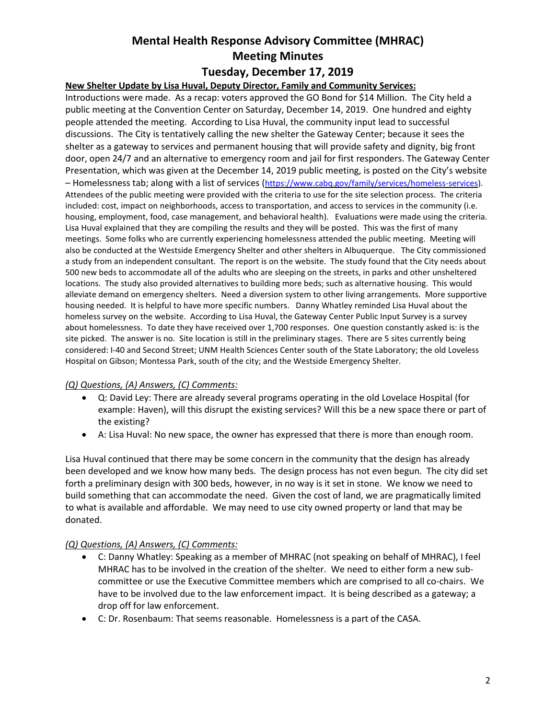## **Tuesday, December 17, 2019**

## **New Shelter Update by Lisa Huval, Deputy Director, Family and Community Services:**

Introductions were made. As a recap: voters approved the GO Bond for \$14 Million. The City held a public meeting at the Convention Center on Saturday, December 14, 2019. One hundred and eighty people attended the meeting. According to Lisa Huval, the community input lead to successful discussions. The City is tentatively calling the new shelter the Gateway Center; because it sees the shelter as a gateway to services and permanent housing that will provide safety and dignity, big front door, open 24/7 and an alternative to emergency room and jail for first responders. The Gateway Center Presentation, which was given at the December 14, 2019 public meeting, is posted on the City's website – Homelessness tab; along with a list of services ([https://www.cabq.gov/family/services/homeless-services\)](https://www.cabq.gov/family/services/homeless-services). Attendees of the public meeting were provided with the criteria to use for the site selection process. The criteria included: cost, impact on neighborhoods, access to transportation, and access to services in the community (i.e. housing, employment, food, case management, and behavioral health). Evaluations were made using the criteria. Lisa Huval explained that they are compiling the results and they will be posted. This was the first of many meetings. Some folks who are currently experiencing homelessness attended the public meeting. Meeting will also be conducted at the Westside Emergency Shelter and other shelters in Albuquerque. The City commissioned a study from an independent consultant. The report is on the website. The study found that the City needs about 500 new beds to accommodate all of the adults who are sleeping on the streets, in parks and other unsheltered locations. The study also provided alternatives to building more beds; such as alternative housing. This would alleviate demand on emergency shelters. Need a diversion system to other living arrangements. More supportive housing needed. It is helpful to have more specific numbers. Danny Whatley reminded Lisa Huval about the homeless survey on the website. According to Lisa Huval, the Gateway Center Public Input Survey is a survey about homelessness. To date they have received over 1,700 responses. One question constantly asked is: is the site picked. The answer is no. Site location is still in the preliminary stages. There are 5 sites currently being considered: I-40 and Second Street; UNM Health Sciences Center south of the State Laboratory; the old Loveless Hospital on Gibson; Montessa Park, south of the city; and the Westside Emergency Shelter.

### *(Q) Questions, (A) Answers, (C) Comments:*

- Q: David Ley: There are already several programs operating in the old Lovelace Hospital (for example: Haven), will this disrupt the existing services? Will this be a new space there or part of the existing?
- A: Lisa Huval: No new space, the owner has expressed that there is more than enough room.

Lisa Huval continued that there may be some concern in the community that the design has already been developed and we know how many beds. The design process has not even begun. The city did set forth a preliminary design with 300 beds, however, in no way is it set in stone. We know we need to build something that can accommodate the need. Given the cost of land, we are pragmatically limited to what is available and affordable. We may need to use city owned property or land that may be donated.

### *(Q) Questions, (A) Answers, (C) Comments:*

- C: Danny Whatley: Speaking as a member of MHRAC (not speaking on behalf of MHRAC), I feel MHRAC has to be involved in the creation of the shelter. We need to either form a new subcommittee or use the Executive Committee members which are comprised to all co-chairs. We have to be involved due to the law enforcement impact. It is being described as a gateway; a drop off for law enforcement.
- C: Dr. Rosenbaum: That seems reasonable. Homelessness is a part of the CASA.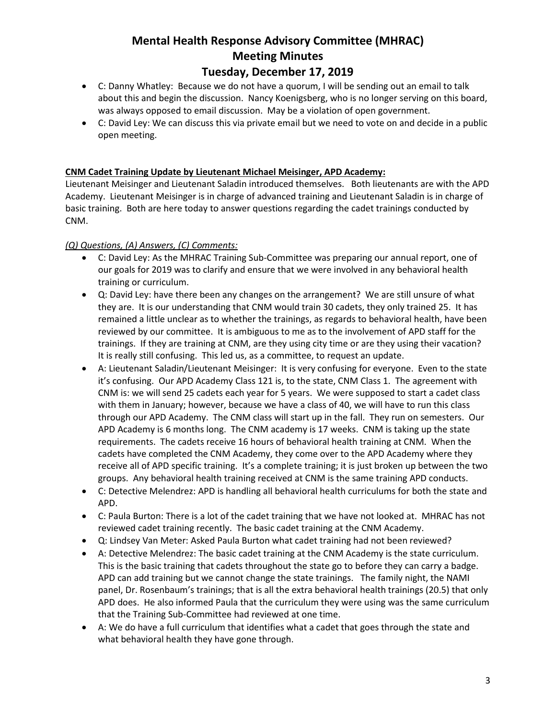# **Tuesday, December 17, 2019**

- C: Danny Whatley: Because we do not have a quorum, I will be sending out an email to talk about this and begin the discussion. Nancy Koenigsberg, who is no longer serving on this board, was always opposed to email discussion. May be a violation of open government.
- C: David Ley: We can discuss this via private email but we need to vote on and decide in a public open meeting.

### **CNM Cadet Training Update by Lieutenant Michael Meisinger, APD Academy:**

Lieutenant Meisinger and Lieutenant Saladin introduced themselves. Both lieutenants are with the APD Academy. Lieutenant Meisinger is in charge of advanced training and Lieutenant Saladin is in charge of basic training. Both are here today to answer questions regarding the cadet trainings conducted by CNM.

## *(Q) Questions, (A) Answers, (C) Comments:*

- C: David Ley: As the MHRAC Training Sub-Committee was preparing our annual report, one of our goals for 2019 was to clarify and ensure that we were involved in any behavioral health training or curriculum.
- Q: David Ley: have there been any changes on the arrangement? We are still unsure of what they are. It is our understanding that CNM would train 30 cadets, they only trained 25. It has remained a little unclear as to whether the trainings, as regards to behavioral health, have been reviewed by our committee. It is ambiguous to me as to the involvement of APD staff for the trainings. If they are training at CNM, are they using city time or are they using their vacation? It is really still confusing. This led us, as a committee, to request an update.
- A: Lieutenant Saladin/Lieutenant Meisinger: It is very confusing for everyone. Even to the state it's confusing. Our APD Academy Class 121 is, to the state, CNM Class 1. The agreement with CNM is: we will send 25 cadets each year for 5 years. We were supposed to start a cadet class with them in January; however, because we have a class of 40, we will have to run this class through our APD Academy. The CNM class will start up in the fall. They run on semesters. Our APD Academy is 6 months long. The CNM academy is 17 weeks. CNM is taking up the state requirements. The cadets receive 16 hours of behavioral health training at CNM. When the cadets have completed the CNM Academy, they come over to the APD Academy where they receive all of APD specific training. It's a complete training; it is just broken up between the two groups. Any behavioral health training received at CNM is the same training APD conducts.
- C: Detective Melendrez: APD is handling all behavioral health curriculums for both the state and APD.
- C: Paula Burton: There is a lot of the cadet training that we have not looked at. MHRAC has not reviewed cadet training recently. The basic cadet training at the CNM Academy.
- Q: Lindsey Van Meter: Asked Paula Burton what cadet training had not been reviewed?
- A: Detective Melendrez: The basic cadet training at the CNM Academy is the state curriculum. This is the basic training that cadets throughout the state go to before they can carry a badge. APD can add training but we cannot change the state trainings. The family night, the NAMI panel, Dr. Rosenbaum's trainings; that is all the extra behavioral health trainings (20.5) that only APD does. He also informed Paula that the curriculum they were using was the same curriculum that the Training Sub-Committee had reviewed at one time.
- A: We do have a full curriculum that identifies what a cadet that goes through the state and what behavioral health they have gone through.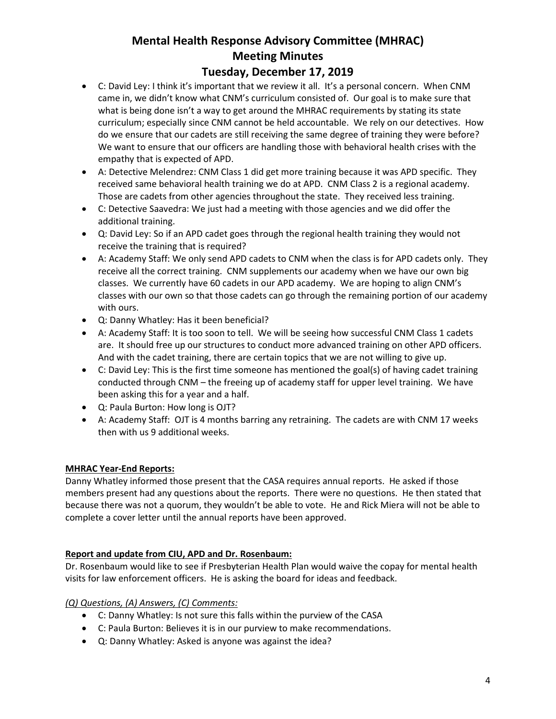## **Tuesday, December 17, 2019**

- C: David Ley: I think it's important that we review it all. It's a personal concern. When CNM came in, we didn't know what CNM's curriculum consisted of. Our goal is to make sure that what is being done isn't a way to get around the MHRAC requirements by stating its state curriculum; especially since CNM cannot be held accountable. We rely on our detectives. How do we ensure that our cadets are still receiving the same degree of training they were before? We want to ensure that our officers are handling those with behavioral health crises with the empathy that is expected of APD.
- A: Detective Melendrez: CNM Class 1 did get more training because it was APD specific. They received same behavioral health training we do at APD. CNM Class 2 is a regional academy. Those are cadets from other agencies throughout the state. They received less training.
- C: Detective Saavedra: We just had a meeting with those agencies and we did offer the additional training.
- Q: David Ley: So if an APD cadet goes through the regional health training they would not receive the training that is required?
- A: Academy Staff: We only send APD cadets to CNM when the class is for APD cadets only. They receive all the correct training. CNM supplements our academy when we have our own big classes. We currently have 60 cadets in our APD academy. We are hoping to align CNM's classes with our own so that those cadets can go through the remaining portion of our academy with ours.
- Q: Danny Whatley: Has it been beneficial?
- A: Academy Staff: It is too soon to tell. We will be seeing how successful CNM Class 1 cadets are. It should free up our structures to conduct more advanced training on other APD officers. And with the cadet training, there are certain topics that we are not willing to give up.
- C: David Ley: This is the first time someone has mentioned the goal(s) of having cadet training conducted through CNM – the freeing up of academy staff for upper level training. We have been asking this for a year and a half.
- Q: Paula Burton: How long is OJT?
- A: Academy Staff: OJT is 4 months barring any retraining. The cadets are with CNM 17 weeks then with us 9 additional weeks.

### **MHRAC Year-End Reports:**

Danny Whatley informed those present that the CASA requires annual reports. He asked if those members present had any questions about the reports. There were no questions. He then stated that because there was not a quorum, they wouldn't be able to vote. He and Rick Miera will not be able to complete a cover letter until the annual reports have been approved.

### **Report and update from CIU, APD and Dr. Rosenbaum:**

Dr. Rosenbaum would like to see if Presbyterian Health Plan would waive the copay for mental health visits for law enforcement officers. He is asking the board for ideas and feedback.

### *(Q) Questions, (A) Answers, (C) Comments:*

- C: Danny Whatley: Is not sure this falls within the purview of the CASA
- C: Paula Burton: Believes it is in our purview to make recommendations.
- Q: Danny Whatley: Asked is anyone was against the idea?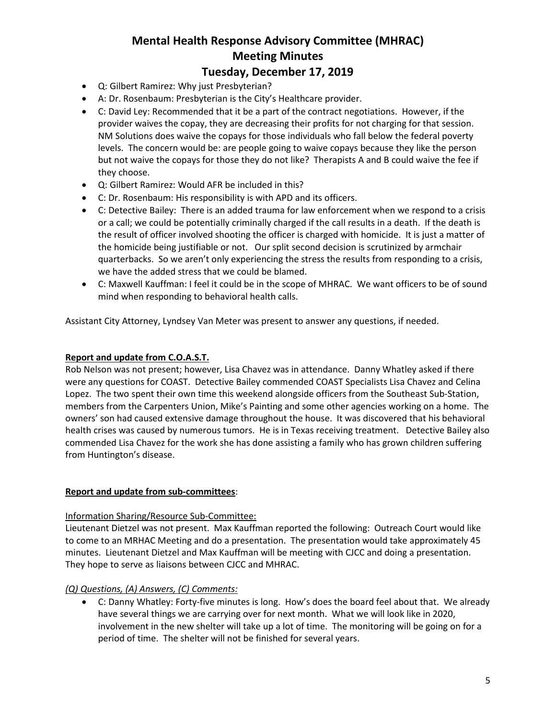# **Tuesday, December 17, 2019**

- Q: Gilbert Ramirez: Why just Presbyterian?
- A: Dr. Rosenbaum: Presbyterian is the City's Healthcare provider.
- C: David Ley: Recommended that it be a part of the contract negotiations. However, if the provider waives the copay, they are decreasing their profits for not charging for that session. NM Solutions does waive the copays for those individuals who fall below the federal poverty levels. The concern would be: are people going to waive copays because they like the person but not waive the copays for those they do not like? Therapists A and B could waive the fee if they choose.
- Q: Gilbert Ramirez: Would AFR be included in this?
- C: Dr. Rosenbaum: His responsibility is with APD and its officers.
- C: Detective Bailey: There is an added trauma for law enforcement when we respond to a crisis or a call; we could be potentially criminally charged if the call results in a death. If the death is the result of officer involved shooting the officer is charged with homicide. It is just a matter of the homicide being justifiable or not. Our split second decision is scrutinized by armchair quarterbacks. So we aren't only experiencing the stress the results from responding to a crisis, we have the added stress that we could be blamed.
- C: Maxwell Kauffman: I feel it could be in the scope of MHRAC. We want officers to be of sound mind when responding to behavioral health calls.

Assistant City Attorney, Lyndsey Van Meter was present to answer any questions, if needed.

### **Report and update from C.O.A.S.T.**

Rob Nelson was not present; however, Lisa Chavez was in attendance. Danny Whatley asked if there were any questions for COAST. Detective Bailey commended COAST Specialists Lisa Chavez and Celina Lopez. The two spent their own time this weekend alongside officers from the Southeast Sub-Station, members from the Carpenters Union, Mike's Painting and some other agencies working on a home. The owners' son had caused extensive damage throughout the house. It was discovered that his behavioral health crises was caused by numerous tumors. He is in Texas receiving treatment. Detective Bailey also commended Lisa Chavez for the work she has done assisting a family who has grown children suffering from Huntington's disease.

### **Report and update from sub-committees**:

#### Information Sharing/Resource Sub-Committee:

Lieutenant Dietzel was not present. Max Kauffman reported the following: Outreach Court would like to come to an MRHAC Meeting and do a presentation. The presentation would take approximately 45 minutes. Lieutenant Dietzel and Max Kauffman will be meeting with CJCC and doing a presentation. They hope to serve as liaisons between CJCC and MHRAC.

### *(Q) Questions, (A) Answers, (C) Comments:*

• C: Danny Whatley: Forty-five minutes is long. How's does the board feel about that. We already have several things we are carrying over for next month. What we will look like in 2020, involvement in the new shelter will take up a lot of time. The monitoring will be going on for a period of time. The shelter will not be finished for several years.